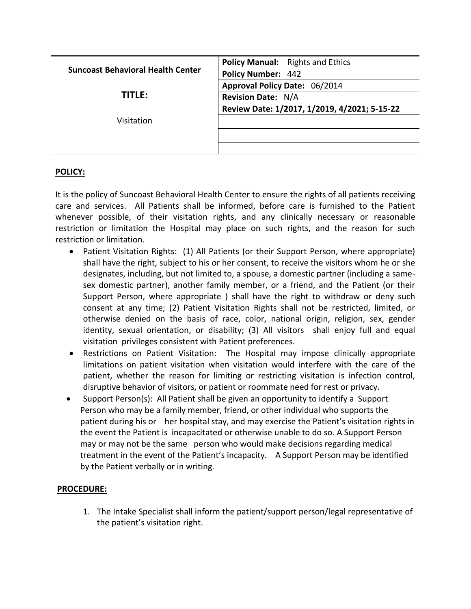| <b>Policy Manual:</b> Rights and Ethics      |
|----------------------------------------------|
| <b>Policy Number: 442</b>                    |
| Approval Policy Date: 06/2014                |
| <b>Revision Date: N/A</b>                    |
| Review Date: 1/2017, 1/2019, 4/2021; 5-15-22 |
|                                              |
|                                              |
|                                              |
|                                              |

## **POLICY:**

It is the policy of Suncoast Behavioral Health Center to ensure the rights of all patients receiving care and services. All Patients shall be informed, before care is furnished to the Patient whenever possible, of their visitation rights, and any clinically necessary or reasonable restriction or limitation the Hospital may place on such rights, and the reason for such restriction or limitation.

- Patient Visitation Rights: (1) All Patients (or their Support Person, where appropriate) shall have the right, subject to his or her consent, to receive the visitors whom he or she designates, including, but not limited to, a spouse, a domestic partner (including a samesex domestic partner), another family member, or a friend, and the Patient (or their Support Person, where appropriate ) shall have the right to withdraw or deny such consent at any time; (2) Patient Visitation Rights shall not be restricted, limited, or otherwise denied on the basis of race, color, national origin, religion, sex, gender identity, sexual orientation, or disability; (3) All visitors shall enjoy full and equal visitation privileges consistent with Patient preferences.
- Restrictions on Patient Visitation: The Hospital may impose clinically appropriate limitations on patient visitation when visitation would interfere with the care of the patient, whether the reason for limiting or restricting visitation is infection control, disruptive behavior of visitors, or patient or roommate need for rest or privacy.
- Support Person(s): All Patient shall be given an opportunity to identify a Support Person who may be a family member, friend, or other individual who supports the patient during his or her hospital stay, and may exercise the Patient's visitation rights in the event the Patient is incapacitated or otherwise unable to do so. A Support Person may or may not be the same person who would make decisions regarding medical treatment in the event of the Patient's incapacity. A Support Person may be identified by the Patient verbally or in writing.

## **PROCEDURE:**

1. The Intake Specialist shall inform the patient/support person/legal representative of the patient's visitation right.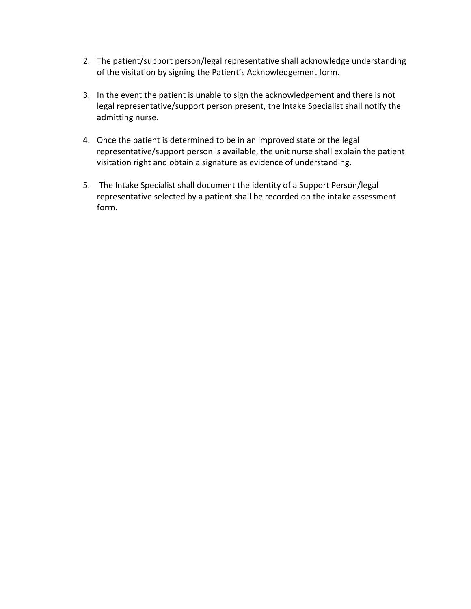- 2. The patient/support person/legal representative shall acknowledge understanding of the visitation by signing the Patient's Acknowledgement form.
- 3. In the event the patient is unable to sign the acknowledgement and there is not legal representative/support person present, the Intake Specialist shall notify the admitting nurse.
- 4. Once the patient is determined to be in an improved state or the legal representative/support person is available, the unit nurse shall explain the patient visitation right and obtain a signature as evidence of understanding.
- 5. The Intake Specialist shall document the identity of a Support Person/legal representative selected by a patient shall be recorded on the intake assessment form.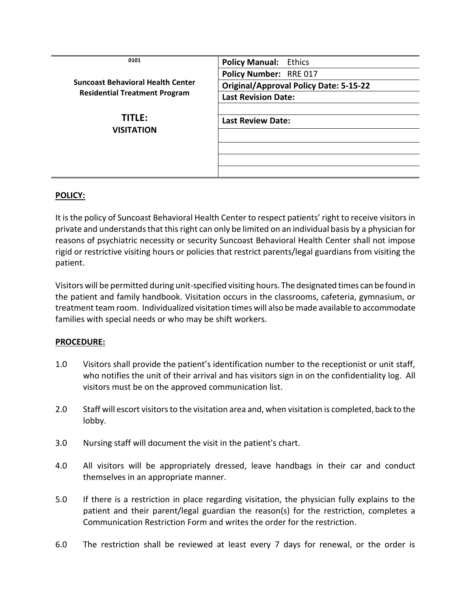| 0101                                     | <b>Policy Manual: Ethics</b>                  |
|------------------------------------------|-----------------------------------------------|
|                                          | Policy Number: RRE 017                        |
| <b>Suncoast Behavioral Health Center</b> | <b>Original/Approval Policy Date: 5-15-22</b> |
| <b>Residential Treatment Program</b>     | <b>Last Revision Date:</b>                    |
|                                          |                                               |
| <b>TITLE:</b>                            | <b>Last Review Date:</b>                      |
| <b>VISITATION</b>                        |                                               |
|                                          |                                               |
|                                          |                                               |
|                                          |                                               |

## **POLICY:**

It is the policy of Suncoast Behavioral Health Center to respect patients' right to receive visitors in private and understands that this right can only be limited on an individual basis by a physician for reasons of psychiatric necessity or security Suncoast Behavioral Health Center shall not impose rigid or restrictive visiting hours or policies that restrict parents/legal guardians from visiting the patient.

Visitors will be permitted during unit-specified visiting hours. The designated times can be found in the patient and family handbook. Visitation occurs in the classrooms, cafeteria, gymnasium, or treatment team room. Individualized visitation times will also be made available to accommodate families with special needs or who may be shift workers.

## **PROCEDURE:**

- 1.0 Visitors shall provide the patient's identification number to the receptionist or unit staff, who notifies the unit of their arrival and has visitors sign in on the confidentiality log. All visitors must be on the approved communication list.
- 2.0 Staff will escort visitors to the visitation area and, when visitation is completed, back to the lobby.
- 3.0 Nursing staff will document the visit in the patient's chart.
- 4.0 All visitors will be appropriately dressed, leave handbags in their car and conduct themselves in an appropriate manner.
- 5.0 If there is a restriction in place regarding visitation, the physician fully explains to the patient and their parent/legal guardian the reason(s) for the restriction, completes a Communication Restriction Form and writes the order for the restriction.
- 6.0 The restriction shall be reviewed at least every 7 days for renewal, or the order is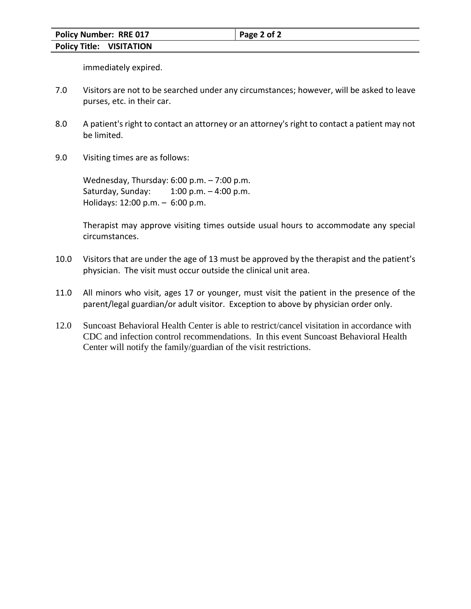immediately expired.

- 7.0 Visitors are not to be searched under any circumstances; however, will be asked to leave purses, etc. in their car.
- 8.0 A patient's right to contact an attorney or an attorney's right to contact a patient may not be limited.
- 9.0 Visiting times are as follows:

Wednesday, Thursday: 6:00 p.m. – 7:00 p.m. Saturday, Sunday: 1:00 p.m. – 4:00 p.m. Holidays: 12:00 p.m. – 6:00 p.m.

Therapist may approve visiting times outside usual hours to accommodate any special circumstances.

- 10.0 Visitors that are under the age of 13 must be approved by the therapist and the patient's physician. The visit must occur outside the clinical unit area.
- 11.0 All minors who visit, ages 17 or younger, must visit the patient in the presence of the parent/legal guardian/or adult visitor. Exception to above by physician order only.
- 12.0 Suncoast Behavioral Health Center is able to restrict/cancel visitation in accordance with CDC and infection control recommendations. In this event Suncoast Behavioral Health Center will notify the family/guardian of the visit restrictions.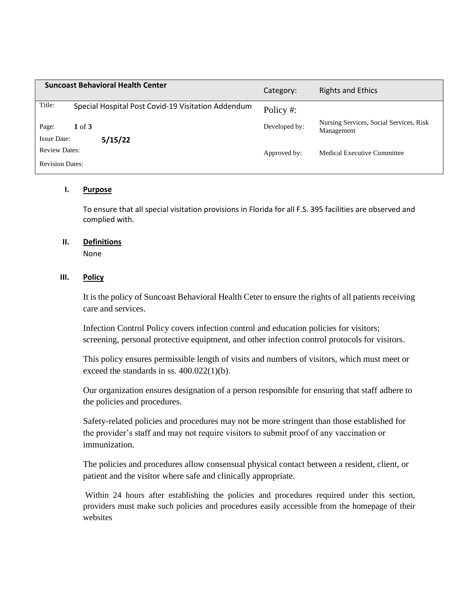|                                            | <b>Suncoast Behavioral Health Center</b>           | Category:     | <b>Rights and Ethics</b>                              |
|--------------------------------------------|----------------------------------------------------|---------------|-------------------------------------------------------|
| Title:                                     | Special Hospital Post Covid-19 Visitation Addendum | Policy #:     |                                                       |
| Page:                                      | $1 \text{ of } 3$                                  | Developed by: | Nursing Services, Social Services, Risk<br>Management |
| <b>Issue Date:</b><br><b>Review Dates:</b> | 5/15/22                                            | Approved by:  | Medical Executive Committee                           |
| <b>Revision Dates:</b>                     |                                                    |               |                                                       |

### **I. Purpose**

To ensure that all special visitation provisions in Florida for all F.S. 395 facilities are observed and complied with.

#### **II. Definitions**

None

#### **III. Policy**

It is the policy of Suncoast Behavioral Health Ceter to ensure the rights of all patients receiving care and services.

Infection Control Policy covers infection control and education policies for visitors; screening, personal protective equipment, and other infection control protocols for visitors.

This policy ensures permissible length of visits and numbers of visitors, which must meet or exceed the standards in ss. 400.022(1)(b).

Our organization ensures designation of a person responsible for ensuring that staff adhere to the policies and procedures.

Safety-related policies and procedures may not be more stringent than those established for the provider's staff and may not require visitors to submit proof of any vaccination or immunization.

The policies and procedures allow consensual physical contact between a resident, client, or patient and the visitor where safe and clinically appropriate.

Within 24 hours after establishing the policies and procedures required under this section, providers must make such policies and procedures easily accessible from the homepage of their websites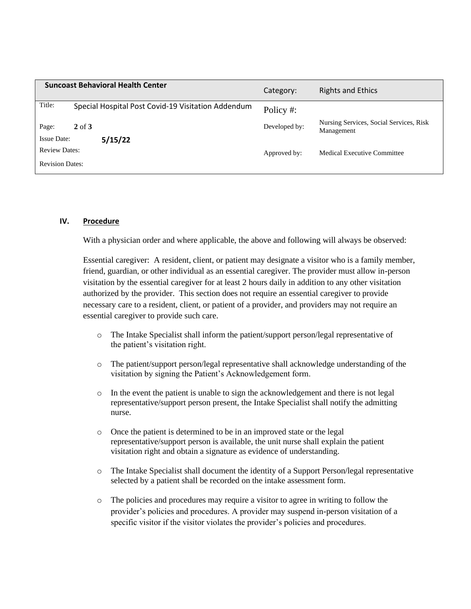|                        | <b>Suncoast Behavioral Health Center</b>           | Category:     | <b>Rights and Ethics</b>                              |
|------------------------|----------------------------------------------------|---------------|-------------------------------------------------------|
| Title:                 | Special Hospital Post Covid-19 Visitation Addendum | Policy #:     |                                                       |
| Page:                  | $2$ of $3$                                         | Developed by: | Nursing Services, Social Services, Risk<br>Management |
| <b>Issue Date:</b>     | 5/15/22                                            |               |                                                       |
| <b>Review Dates:</b>   |                                                    | Approved by:  | Medical Executive Committee                           |
| <b>Revision Dates:</b> |                                                    |               |                                                       |

#### **IV. Procedure**

With a physician order and where applicable, the above and following will always be observed:

Essential caregiver: A resident, client, or patient may designate a visitor who is a family member, friend, guardian, or other individual as an essential caregiver. The provider must allow in-person visitation by the essential caregiver for at least 2 hours daily in addition to any other visitation authorized by the provider. This section does not require an essential caregiver to provide necessary care to a resident, client, or patient of a provider, and providers may not require an essential caregiver to provide such care.

- o The Intake Specialist shall inform the patient/support person/legal representative of the patient's visitation right.
- o The patient/support person/legal representative shall acknowledge understanding of the visitation by signing the Patient's Acknowledgement form.
- o In the event the patient is unable to sign the acknowledgement and there is not legal representative/support person present, the Intake Specialist shall notify the admitting nurse.
- o Once the patient is determined to be in an improved state or the legal representative/support person is available, the unit nurse shall explain the patient visitation right and obtain a signature as evidence of understanding.
- o The Intake Specialist shall document the identity of a Support Person/legal representative selected by a patient shall be recorded on the intake assessment form.
- o The policies and procedures may require a visitor to agree in writing to follow the provider's policies and procedures. A provider may suspend in-person visitation of a specific visitor if the visitor violates the provider's policies and procedures.